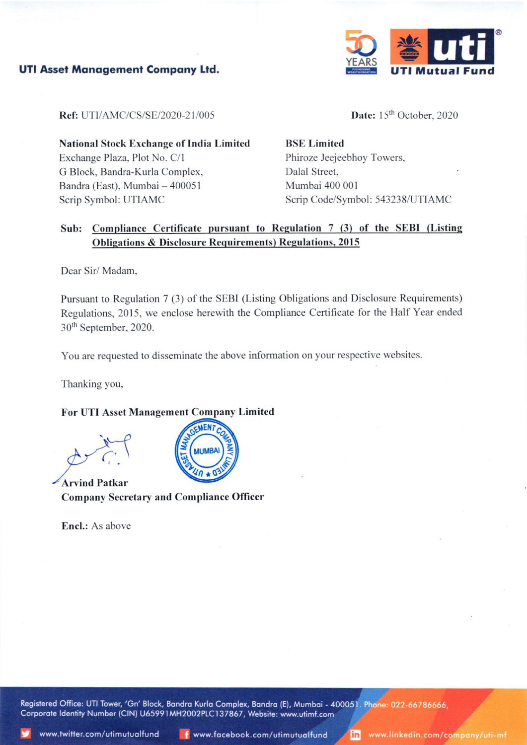

UTI Asset Management Company Ltd.

Ref: UTI/AMC/CS/SE/2020-21/005

Date: 15<sup>th</sup> October, 2020

National Stock Exchange of India Limited Exchange Plaza, Plot No. C/l G Block, Bandra-Kurla Complex, Bandra (East), Mumbai - 400051 Scrip Symbol: UTIAMC

BSE Limited Phiroze Jeejeebhoy Towers, Dalal Street. Mumbai 400 001 Scrip Code/Symbol: 543238/UTIAMC

# Sub: Compliance Certificate pursuant to Regulation 7 (3) of the SEBI (Listing Obligations & Disclosure Requirements) Regulations, 2015

Dear Sir/ Madam,

Pursuant to Regulation 7 (3) of the SEBI (Listing Obligations and Disclosure Requirements) Regulations, 2015, we enclose herewith the Compliance Certificate for the Half Year ended 3Oth September, 2020.

You are requested to disseminate the above information on your respective websites.

Thanking you,

## For UTI Asset Managem Limitcd



Arvind Patkar Company Secretaty and Compliancc Officer

Encl.: As above

Registered Office: UTI Tower, 'Gn' Block, Bandra Kurla Complex, Bandra (E), Mumbai - 400051. Phone: 022-66786666. Corporate Identity Number (CIN) U65991MH2002PLC137867, Website: www.utimf.com